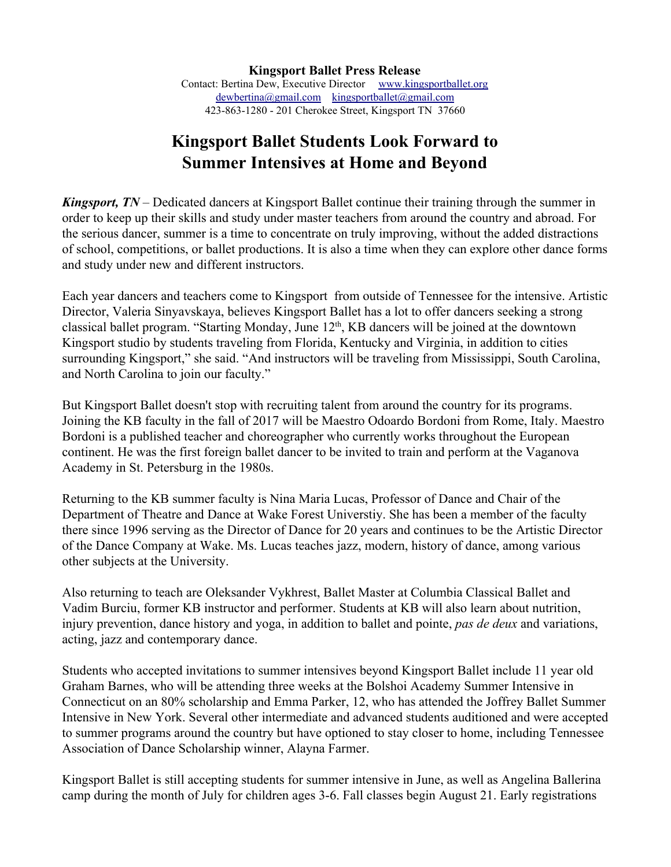## **Kingsport Ballet Students Look Forward to Summer Intensives at Home and Beyond**

*Kingsport, TN* – Dedicated dancers at Kingsport Ballet continue their training through the summer in order to keep up their skills and study under master teachers from around the country and abroad. For the serious dancer, summer is a time to concentrate on truly improving, without the added distractions of school, competitions, or ballet productions. It is also a time when they can explore other dance forms and study under new and different instructors.

Each year dancers and teachers come to Kingsport from outside of Tennessee for the intensive. Artistic Director, Valeria Sinyavskaya, believes Kingsport Ballet has a lot to offer dancers seeking a strong classical ballet program. "Starting Monday, June 12<sup>th</sup>, KB dancers will be joined at the downtown Kingsport studio by students traveling from Florida, Kentucky and Virginia, in addition to cities surrounding Kingsport," she said. "And instructors will be traveling from Mississippi, South Carolina, and North Carolina to join our faculty."

But Kingsport Ballet doesn't stop with recruiting talent from around the country for its programs. Joining the KB faculty in the fall of 2017 will be Maestro Odoardo Bordoni from Rome, Italy. Maestro Bordoni is a published teacher and choreographer who currently works throughout the European continent. He was the first foreign ballet dancer to be invited to train and perform at the Vaganova Academy in St. Petersburg in the 1980s.

Returning to the KB summer faculty is Nina Maria Lucas, Professor of Dance and Chair of the Department of Theatre and Dance at Wake Forest Universtiy. She has been a member of the faculty there since 1996 serving as the Director of Dance for 20 years and continues to be the Artistic Director of the Dance Company at Wake. Ms. Lucas teaches jazz, modern, history of dance, among various other subjects at the University.

Also returning to teach are Oleksander Vykhrest, Ballet Master at Columbia Classical Ballet and Vadim Burciu, former KB instructor and performer. Students at KB will also learn about nutrition, injury prevention, dance history and yoga, in addition to ballet and pointe, *pas de deux* and variations, acting, jazz and contemporary dance.

Students who accepted invitations to summer intensives beyond Kingsport Ballet include 11 year old Graham Barnes, who will be attending three weeks at the Bolshoi Academy Summer Intensive in Connecticut on an 80% scholarship and Emma Parker, 12, who has attended the Joffrey Ballet Summer Intensive in New York. Several other intermediate and advanced students auditioned and were accepted to summer programs around the country but have optioned to stay closer to home, including Tennessee Association of Dance Scholarship winner, Alayna Farmer.

Kingsport Ballet is still accepting students for summer intensive in June, as well as Angelina Ballerina camp during the month of July for children ages 3-6. Fall classes begin August 21. Early registrations